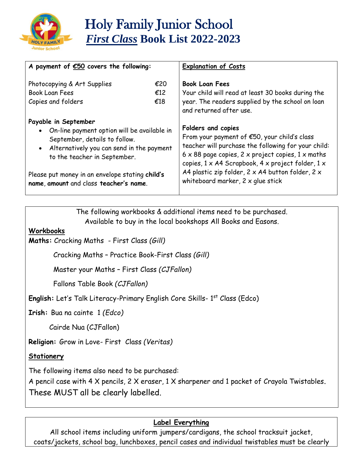

| A payment of $E50$ covers the following:                                                                                                                                                                                                                                           |                   | <b>Explanation of Costs</b>                                                                                                                                                                                                                                                                                                                       |
|------------------------------------------------------------------------------------------------------------------------------------------------------------------------------------------------------------------------------------------------------------------------------------|-------------------|---------------------------------------------------------------------------------------------------------------------------------------------------------------------------------------------------------------------------------------------------------------------------------------------------------------------------------------------------|
| Photocopying & Art Supplies<br><b>Book Loan Fees</b><br>Copies and folders                                                                                                                                                                                                         | €20<br>£12<br>€18 | <b>Book Loan Fees</b><br>Your child will read at least 30 books during the<br>year. The readers supplied by the school on loan<br>and returned after use.                                                                                                                                                                                         |
| Payable in September<br>• On-line payment option will be available in<br>September, details to follow.<br>• Alternatively you can send in the payment<br>to the teacher in September.<br>Please put money in an envelope stating child's<br>name, amount and class teacher's name. |                   | Folders and copies<br>From your payment of €50, your child's class<br>teacher will purchase the following for your child:<br>$6 \times 88$ page copies, 2 x project copies, 1 x maths<br>copies, 1 x A4 Scrapbook, 4 x project folder, 1 x<br>A4 plastic zip folder, $2 \times A4$ button folder, $2 \times$<br>whiteboard marker, 2 x glue stick |

The following workbooks & additional items need to be purchased. Available to buy in the local bookshops All Books and Easons.

## **Workbooks**

**Maths:** Cracking Maths - First Class *(Gill)*

Cracking Maths – Practice Book-First Class *(Gill)* 

Master your Maths – First Class *(CJFallon)*

Fallons Table Book *(CJFallon)*

English: Let's Talk Literacy-Primary English Core Skills- 1<sup>st</sup> Class (Edco)

**Irish:** Bua na cainte 1 *(Edco)*

Cairde Nua (CJFallon)

**Religion:** Grow in Love- First Class *(Veritas)* 

## **Stationery**

The following items also need to be purchased:

A pencil case with 4 X pencils, 2 X eraser, 1 X sharpener and 1 packet of Crayola Twistables. These MUST all be clearly labelled.

## **Label Everything**

All school items including uniform jumpers/cardigans, the school tracksuit jacket, coats/jackets, school bag, lunchboxes, pencil cases and individual twistables must be clearly